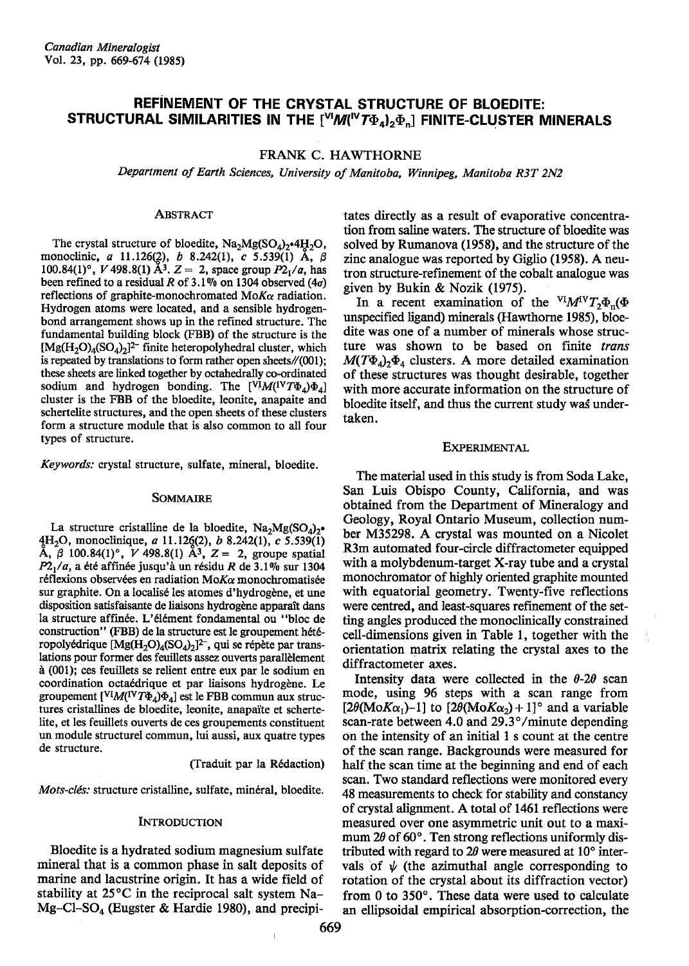# REFiNEMENT OF THE CRYSTAL STRUCTURE OF BLOEDITE: STRUCTURAL SIMILARITIES IN THE  $[^{\vee\prime}M(^{\vee}T\Phi_{4})_{2}\Phi_{n}]$  FINITE-CLUSTER MINERALS

# FRANK C. HAWTHORNE

Department of Earth Sciences, University of Manitoba, Winnipeg, Manitoba R3T 2N2

### ABSTRAcT

The crystal structure of bloedite,  $\text{Na}_2\text{Mg}(\text{SO}_4)_2\cdot 4\text{H}_2\text{O}$ , monoclinic, a 11.126(2), b 8.242(1), c 5.539(1) A,  $\beta$ 100.84(1)°, V 498.8(1) A<sup>3</sup>.  $Z = 2$ , space group  $P2<sub>1</sub>/a$ , has been refined to a residual R of 3.1% on 1304 observed (4 $\sigma$ ) reflections of graphite-monochromated Mo $K_{\alpha}$  radiation. Hydrogen atoms were located, and a sensible hydrogenbond arrangement shows up in the refined structure. The fundamental building block (FBB) of the structure is the  $[Mg(H_2O)_4(SO_4)_2]^{2-}$  finite heteropolyhedral cluster, which is repeated by translations to form rather open sheets/ $/(001)$ ; these sheets are linked together by octahedrally co-ordinated sodium and hydrogen bonding. The  $[V^{\dagger}M(V^{\dagger}T\Phi_4)\Phi_4]$ cluster is the FBB of the bloedite, leonite, anapaite and schertelite structures, and the open sheets of these clusters form a structure module that is also common to all four types of structure.

Keywords: crystal structure, sulfate, mineral, bloedite,

## SOMMAIRE

La structure cristalline de la bloedite,  $Na<sub>2</sub>Mg(SO<sub>4</sub>)<sub>2</sub>$ .  $4H<sub>2</sub>O$ , monoclinique, a 11.126(2), b 8.242(1), c 5.539(1) A,  $\beta$  100.84(1)°, V 498.8(1) A<sup>3</sup>, Z = 2, groupe spatial  $P2<sub>1</sub>/a$ , a été affinée jusqu'à un résidu R de 3.1% sur 1304 réflexions observées en radiation Mo $K\alpha$  monochromatisée sur graphite. On a localisé les atomes d'hydrogène, et une disposition satisfaisante de liaisons hydrogène apparaît dans la structure affin€e. L'6l6ment fondamental ou "bloc de construction" (FBB) de la structure est le groupement hétéropolyédrique  $[Mg(H_2O)_4(SO_4)_2]^2$ , qui se répète par translations pour former des feuillets assez ouverts parallblement n (001); ces feuillets se relient entre eux par le sodium en coordination octaédrique et par liaisons hydrogène. Le groupement  $[V^I M (IVT\Phi_4)\Phi_4]$  est le FBB commun aux structures cristallines de bloedite, leonite, anapaïte et schertelite, et les feuillets ouverts de ces groupements constituent un module structurel commun, lui aussi, aux quatre types de structure.

(Traduit par la Rédaction)

Mots-clés: structure cristalline, sulfate, minéral, bloedite.

### **INTRODUCTION**

Bloedite is a hydrated sodium magnesium sulfate mineral that is a common phase in salt deposits of marine and lacustrine origin. It has a wide field of stability at 25"C in the reciprocal salt system Na-Mg-Cl-SO<sub>4</sub> (Eugster & Hardie 1980), and precipitates directly as a result of evaporative concentration from saline waters. The structure of bloedite was solved by Rumanova (1958), and the structure of the zinc analogue was reported by Giglio (1958). A neutron structure-refinement of the cobalt analogue was given by Bukin & Nozik (1975).

In a recent examination of the  $VIMV T_2\Phi_n(\Phi)$ unspecified ligand) minerals (Hawthorne 1985), bloedite was one of a number of minerals whose structure was shown to be based on finite trans  $M(T\Phi_4)$ ,  $\Phi_4$  clusters. A more detailed examination of these structures was thought desirable, together with more accurate information on the structure of bloedite itself, and thus the current study was undertaken.

#### **EXPERIMENTAL**

The material used in this study is from Soda Lake, San Luis Obispo County, California, and was obtained from the Department of Mineralogy and Geology, Royal Ontario Museum, collection number M35298. A crystal was mounted on a Nicolet R3m automated four-circle diffractometer equipped with a molybdenum-target X-ray tube and a crystal monochromator of highly oriented graphite mounted with equatorial geometry. Twenty-five reflections were centred, and least-squares refinement of the setting angles produced the monoclinically constrained cell-dimensions given in Table l, together with the orientation matrix relating the crystal axes to the diffractometer axes.

Intensity data were collected in the  $\theta$ -2 $\theta$  scan mode, using 96 steps with a scan range from  $[2\theta(MoK\alpha_1)-1]$  to  $[2\theta(MoK\alpha_2)+1]$ <sup>o</sup> and a variable scan-rate between 4.0 and  $29.3^{\circ}/$  minute depending on the intensity of an initial I s count at the centre of the scan range. Backgrounds were measured for half the scan time at the beginning and end of each scan, Two standard reflections were monitored every 48 measurements to check for stability and constancy of crystal alignment. A total of 146l reflections were measured over one asymmetric unit out to a maximum  $2\theta$  of 60 $^{\circ}$ . Ten strong reflections uniformly distributed with regard to  $2\theta$  were measured at  $10^{\circ}$  intervals of  $\psi$  (the azimuthal angle corresponding to rotation of the crystal about its diffraction vector) from  $0$  to  $350^\circ$ . These data were used to calculate an ellipsoidal empirical absorption-correction, the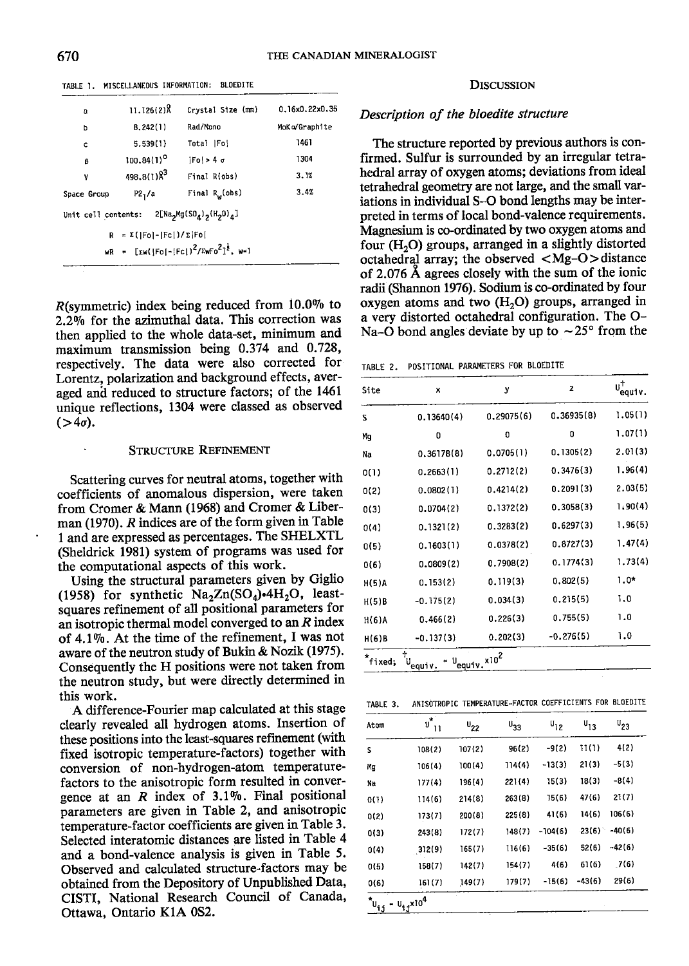TABLE 1. MISCELLANEOUS INFORMATION: BLOEDITE

| a                   | $11.126(2)$ Å                                          | Crystal Size (mm)                                      | 0.16x0.22x0.35 |
|---------------------|--------------------------------------------------------|--------------------------------------------------------|----------------|
| p                   | 8.242(1)                                               | Rad/Mono                                               | MoKo/Graphite  |
| c                   | 5.539(1)                                               | Total   Fo                                             | 1461           |
| ß                   | $100.84(1)^{0}$                                        | $ F_0  > 4$ d                                          | 1304           |
| ۷                   | $498.8(1)$ $\lambda^3$                                 | Final R(obs)                                           | 3.1%           |
| Space Group         | P2 <sub>1</sub> /a                                     | Final R <sub>w</sub> (obs)                             | 3.4%           |
| Unit cell contents: |                                                        | $2[Na2Mg(SOA)2(H2O)a]$                                 |                |
| R                   | $= \Sigma \left(  F_0  -  F_C  \right) / \Sigma  F_0 $ |                                                        |                |
|                     |                                                        | $WR = [Ew([Fo[-[Fc])^{2}/EwFo^{2}]^{\frac{1}{2}}, w=1$ |                |
|                     |                                                        |                                                        |                |

 $R$ (symmetric) index being reduced from 10.0% to 2.2% for the azimuthal data. This correction was then applied to the whole data-set, minimum and maximum transmission being 0.374 and 0.728, respectively. The data were also corrected for Lorentz, polarization and background effects, averaged and reduced to structure factors; of the 146l unique reflections, 1304 were classed as observed  $($ >4 $\sigma$ ).

#### STRUCTURE REFINEMENT

Scattering curves for neutral atoms, together with coefficients of anomalous dispersion, were taken from Cromer & Mann (1968) and Cromer & Liberman (1970). R indices are of the form given in Table I and are expressed as percentages. The SHELXTL (Sheldrick 1981) system of programs was used for the computational aspects of this work.

Using the structural parameters given by Giglio (1958) for synthetic  $Na<sub>2</sub>Zn(SO<sub>4</sub>)•4H<sub>2</sub>O$ , leastsquares refinement of all positional parameters for an isotropic thermal model converged to an  $R$  index of  $4.1\%$ . At the time of the refinement, I was not aware of the neutron study of Bukin & Nozik (1975). Consequently the H positions were not taken from the neutron study, but were directly determined in this work.

A difference-Fourier map calculated at this stage clearly revealed all hydrogen atoms. Insertion of these positions into the least-squares refinement (with fixed isotropic temperature-factors) together with conversion of non-hydrogen-atom temperaturefactors to the anisotropic form resulted in convergence at an  $R$  index of 3.1%. Final positional parameters are given in Table 2, and anisotropic temperature-factor coefficients are given in Table 3. Selected interatomic distances are listed in Table 4 and a bond-valence analysis is given in Table 5. Observed and calculated structure-factors may be obtained from the Depository of Unpublished Data' CISTI, National Research Council of Canada, Ottawa, Ontario KIA 0S2.

### DISCUSSION

# Description of the bloedite structure

The structure reported by previous authors is confirmed. Sulfur is surrounded by an irregular tetrahedral array of oxygen atoms; deviations from ideal tetrahedral geometry are not large, and the small variations in individual S-O bond lengths may be interpreted in terms of local bond-valence requirements. Magnesium is co-ordinated by two oxygen atoms and four  $(H<sub>2</sub>O)$  groups, arranged in a slightly distorted octahedral array; the observed  $|Mg-O\rangle$  distance of 2.076 A agrees closely with the sum of the ionic radii (Shannon 1976). Sodium is co-ordinated by four oxygen atoms and two  $(H<sub>2</sub>O)$  groups, arranged in a very distorted octahedral configuration. The O-Na-O bond angles deviate by up to  $\sim$  25 $\degree$  from the

TABLE 2. POSITIONAL PARAMETERS FOR BLOEDITE

| Site              | x                                                                   | у          | z           | $\overset{\mathsf{u}^{\dagger}_\mathsf{equiv}}{=}$ |
|-------------------|---------------------------------------------------------------------|------------|-------------|----------------------------------------------------|
| S                 | 0.13640(4)                                                          | 0.29075(6) | 0.36935(8)  | 1.05(1)                                            |
| Mg                | 0                                                                   | O          | 0           | 1.07(1)                                            |
| Na                | 0.36178(8)                                                          | 0.0705(1)  | 0.1305(2)   | 2.01(3)                                            |
| 0(1)              | 0.2663(1)                                                           | 0.2712(2)  | 0.3476(3)   | 1.96(4)                                            |
| 0(2)              | 0.0802(1)                                                           | 0.4214(2)  | 0.2091(3)   | 2.03(5)                                            |
| 0(3)              | 0.0704(2)                                                           | 0.1372(2)  | 0.3058(3)   | 1,90(4)                                            |
| 0(4)              | 0.1321(2)                                                           | 0.3283(2)  | 0.6297(3)   | 1.96(5)                                            |
| 0(5)              | 0.1603(1)                                                           | 0.0378(2)  | 0.8727(3)   | 1.47(4)                                            |
| 0(6)              | 0.0809(2)                                                           | 0.7908(2)  | 0.1774(3)   | 1.73(4)                                            |
| H(5)A             | 0.153(2)                                                            | 0.119(3)   | 0.802(5)    | $1.0*$                                             |
| H(5)B             | $-0.175(2)$                                                         | 0.034(3)   | 0.215(5)    | 1.0                                                |
| $H(6)$ A          | 0.466(2)                                                            | 0.226(3)   | 0.755(5)    | 1.0                                                |
| H(6)B             | $-0.137(3)$                                                         | 0.202(3)   | $-0.276(5)$ | 1.0                                                |
| $\star$<br>fixed: | ተ<br>$= 0$ <sub>equiv</sub> .x10 <sup>2</sup><br>U <sub>equiv</sub> |            |             |                                                    |

| TABLE 3. | ANISOTROPIC TEMPERATURE-FACTOR COEFFICIENTS FOR BLOEDITE |  |
|----------|----------------------------------------------------------|--|
|          |                                                          |  |

| Atom                                | $\mathbf{u}^{\star}$<br>$\overline{11}$ | $U_{22}$ | $\mathsf{u}_{33}$ | $U_{12}$  | $\mathsf{u}_{13}$ | $U_{23}$ |  |
|-------------------------------------|-----------------------------------------|----------|-------------------|-----------|-------------------|----------|--|
| s                                   | 108(2)                                  | 107(2)   | 96(2)             | $-9(2)$   | 11(1)             | 4(2)     |  |
| Mg                                  | 106(4)                                  | 100(4)   | 114(4)            | $-13(3)$  | 21(3)             | $-5(3)$  |  |
| Na                                  | 177(4)                                  | 196(4)   | 221(4)            | 15(3)     | 18(3)             | $-8(4)$  |  |
| 0(1)                                | 114(6)                                  | 214(8)   | 263(8)            | 15(6)     | 47(6)             | 21(7)    |  |
| 0(2)                                | 173(7)                                  | 200(8)   | 225(8)            | 41(6)     | 14(6)             | 106(6)   |  |
| 0(3)                                | 243(8)                                  | 172(7)   | 148(7)            | $-104(6)$ | 23(6)             | $-40(6)$ |  |
| O(4)                                | 312(9)                                  | 165(7)   | 116(6)            | $-35(6)$  | 52(6)             | $-42(6)$ |  |
| 0(5)                                | 158(7)                                  | 142(7)   | 154(7)            | 4(6)      | 61(6)             | 7(6)     |  |
| 0(6)                                | 161(7)                                  | 149(7)   | 179(7)            | $-15(6)$  | $-43(6)$          | 29(6)    |  |
| $\boldsymbol{^{*}\mathsf{u}_{i,j}}$ | $=$ $u_{ij}x10^4$                       |          |                   |           |                   |          |  |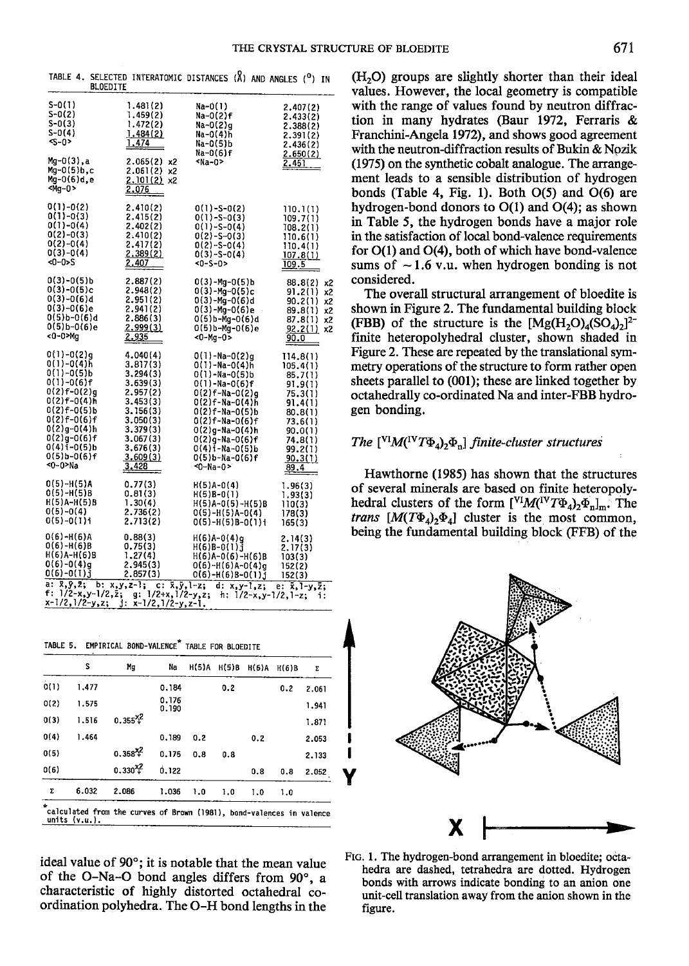I I Y

| BLOEDITE                                                                                                                                                                                                         |                                                                                                                                                       |                                                                                                                                                                                                                                                                                         |                                                                                                                                            |
|------------------------------------------------------------------------------------------------------------------------------------------------------------------------------------------------------------------|-------------------------------------------------------------------------------------------------------------------------------------------------------|-----------------------------------------------------------------------------------------------------------------------------------------------------------------------------------------------------------------------------------------------------------------------------------------|--------------------------------------------------------------------------------------------------------------------------------------------|
| $S - O(1)$<br>$S - 0(2)$<br>S-0(3)<br>S-0(4)<br><s-0></s-0>                                                                                                                                                      | 1.481(2)<br>1.459(2)<br>1.472(2)<br>1.484(2)<br>1.474                                                                                                 | Na-O(I)<br>Na-0(2)f<br>Na-0(2)q<br>Na-0(4)h<br>Na-0(5)b<br>Na-0(6)f                                                                                                                                                                                                                     | 2.407(2)<br>2.433(2)<br>2.388(2)<br>2.391(2)<br>2.436(2)<br>2.650(2)                                                                       |
| Mg-0(3).a<br>$Mq - 0(5) b$ , c<br>Mg-0(6)d.e<br><mg-0></mg-0>                                                                                                                                                    | 2.065(2)<br>x2<br>2.061(2) x2<br>$2.101(2)$ x2<br>2.076                                                                                               | ≺Na-O>                                                                                                                                                                                                                                                                                  | 2.451                                                                                                                                      |
| 0(1)-0(2)<br>$0(1)-0(3)$<br>$0(1)-0(4)$<br>$0(2)-0(3)$<br>$0(2)-0(4)$<br>$0(3)-0(4)$<br><0-0>s                                                                                                                   | 2.410(2)<br>2.415(2)<br>2.402(2)<br>2.410(2)<br>2.417(2)<br>2.389(2)<br>2.407                                                                         | $0(1)-S-0(2)$<br>$0(1) - S - 0(3)$<br>$0(1)-S-0(4)$<br>$0(2)-S-0(3)$<br>$0(2)-S-0(4)$<br>$0(3)-S-0(4)$<br><0-S-0>                                                                                                                                                                       | 110.1(1)<br>109.7(1)<br>108.2(1)<br>110.6(1)<br>110.4(1)<br>107.8(1)<br>109.5                                                              |
| $0(3)-0(5)$ b<br>$0(3)-0(5)c$<br>0(3)-0(6)d<br>0(3)-0(6)e<br>0(5)b-0(6)d<br>0(5)b-0(6)e<br><0-0>Ma                                                                                                               | 2.887(2)<br>2.948(2)<br>2.951(2)<br>2.941(2)<br>2.886(3)<br>2.999(3)<br><u>2.935</u>                                                                  | 0(3)-Mg-0(5)b<br>$0(3)$ -Mg- $0(5)$ c<br>0(3)-Mg-0(6)d<br>0(3)-Mq-0(6)e<br>0(5)b-Mg-0(6)d<br>0(5)b-Mg-0(6)e<br><0-Mg-0>                                                                                                                                                                 | 88.8(2)<br>x2<br>91.2(1)<br>x2<br>90.2(1)<br>x2<br>89.8(1)<br>x2<br>87.8(1)<br>x2<br>92.2(1)<br>x2<br>90.0                                 |
| $0(1)-0(2)q$<br>$0(1)-0(4)h$<br>$0(1)-0(5)$ b<br>$0(1)-0(6)$ f<br>0(2)f-0(2)q<br>0(2)f-0(4)h<br>$0(2)$ f-0(5)b<br>$0(2)f-0(6)f$<br>0(2)g-0(4)h<br>0(2)q-0(6)f<br>$0(4)$ i-0(5)b<br>$0(5)$ b- $0(6)$ f<br><0~0>Na | 4.040(4)<br>3.817(3)<br>3,294(3)<br>3.639(3)<br>2.957(2)<br>3.453(3)<br>3.156(3)<br>3.050(3)<br>3,379(3)<br>3.067(3)<br>3.676(3)<br>3.609(3)<br>3.428 | O(1}-Na-O(2)α<br>0(1)-Na-0(4)h<br>$0(1) - Na - 0(5)b$<br>$0(1)$ -Na- $0(6)$ f<br>$0(2)$ f-Na- $0(2)$ q<br>$0(2)$ f-Na- $0(4)$ h<br>$0(2)f - Na - 0(5)h$<br>0(2)f-Na-0(6)f<br>$0(2)$ g-Na- $0(4)$ h<br>$0(2)$ g-Na- $0(6)$ f<br>0(4)i-Na-0(5)b<br>$0(5)$ b-Na- $0(6)$ f<br>$-0 - Na - O$ | 114.8(1)<br>105.4(1)<br>85.7(1)<br>91.9(1)<br>75.3(1)<br>91.4(1)<br>80.8(1)<br>73.6(1)<br>90.0(1)<br>74.8(1)<br>99.2(1)<br>90.3(1)<br>89.4 |
| 0(5)-H(5)A<br>$0(5)-H(5)B$<br>H(5)A-H(5)B<br>$0(5)-0(4)$<br>$0(5)-0(1)$ i                                                                                                                                        | 0.77(3)<br>0.81(3)<br>1.30(4)<br>2.736(2)<br>2.713(2)                                                                                                 | $H(5)A-0(4)$<br>$H(5)B-0(1)$<br>H(5)A-0(5)-H(5)B<br>$0(5)-H(5)A-0(4)$<br>0(5)-H(5)B-0(1)i                                                                                                                                                                                               | 1.96(3)<br>1.93(3)<br>110(3)<br>178(3)<br>165(3)                                                                                           |
| 0(6)-H(6)A<br>$0(6)-H(6)B$<br>H(6)A-H(6)B<br>$0(6)-0(4)g$<br>$0(6)-0(1)$ j                                                                                                                                       | 0.88(3)<br>0.75(3)<br>1.27(4)<br>2.945(3)<br>2.857(3)                                                                                                 | $H(6)A-0(4)q$<br>$H(6)B-0(1)j$<br>$H(6)$ A-0(6)-H(6)B<br>$0(6)-H(6)A-0(4)q$<br>$0(6)-H(6)B-0(1)$ j                                                                                                                                                                                      | 2.14(3)<br>2.17(3)<br>103(3)<br>152(2)<br>152(3)                                                                                           |
| a: $\bar{x}, \bar{y}, \bar{z}$ ; b: $x, y, z-1$ ; c: $\bar{x}, \bar{y}, 1-z$ ;<br>f: 1/2-x,y-1/2,z;<br>x-1/2,1/2-y,z; j: x-1/2,1/2-y,z-1.                                                                        | $g: 1/2+x, 1/2-y, z;$                                                                                                                                 | $d: x, y-1, z;$<br>$h: 1/2-x, y-1/2, 1-z;$                                                                                                                                                                                                                                              | $e: \bar{x}, 1-y, \bar{z};$<br>i:                                                                                                          |

TABLE 4. SELECTED INTERATOMIC DISTANCES  $(8)$  and angles  $(9)$  in

|  | TABLE 5. EMPIRICAL BOND-VALENCE <sup>T</sup> TABLE FOR BLOEDITE |  |  |
|--|-----------------------------------------------------------------|--|--|
|  |                                                                 |  |  |

|      | s     | Mg            | Na             | H(5)A | H(5)B | H(6)A | H(6)B | Σ     |
|------|-------|---------------|----------------|-------|-------|-------|-------|-------|
| 0(1) | 1.477 |               | 0.184          |       | 0.2   |       | 0.2   | 2.061 |
| 0(2) | 1.575 |               | 0.176<br>0.190 |       |       |       |       | 1.941 |
| 0(3) | 1.516 | $0.355^{2}$   |                |       |       |       |       | 1.871 |
| O(4) | 1.464 |               | 0.189          | 0.2   |       | 0.2   |       | 2.053 |
| O(5) |       | $0.358^{2}$   | 0.175          | 0.8   | 0.8   |       |       | 2.133 |
| 0(6) |       | $0.330^{x^2}$ | 0.122          |       |       | 0.8   | 0.8   | 2.052 |
| Σ    | 6.032 | 2.086         | 1.036          | 1.0   | 1.0   | 1.0   | 1.0   |       |

ideal value of 90"; it is notable that the mean value of the O-Na-O bond angles differs from  $90^\circ$ , a characteristic of highly distorted octahedral coordination polyhedra. The O-H bond lengths in the

 $(H<sub>2</sub>O)$  groups are slightly shorter than their ideal values. However, the local geometry is compatible with the range of values found by neutron diffraction in many hydrates (Baur 1972, Ferraris  $\&$ Franchini-Angela 1972), and shows good agreement with the neutron-diffraction results of Bukin & Nozik (1975) on the synthetic cobalt analogue. The arrangement leads to a sensible distribution of hydrogen bonds (Table 4, Fig. 1). Both  $O(5)$  and  $O(6)$  are hydrogen-bond donors to  $O(1)$  and  $O(4)$ ; as shown in Table 5, the hydrogen bonds have a major role in the satisfaction of local bond-valence requirements for O(1) and O(4), both of which have bond-valence sums of  $\sim$  1.6 v.u. when hydrogen bonding is not considered.

The overall structural arrangement of bloedite is shown in Figure 2. The fundamental building block (FBB) of the structure is the  $[Mg(H_2O)_4(SO_4)_2]^2$ finite heteropolyhedral cluster, shown shaded in Figure 2. These are repeated by the translational symmetry operations of the structure to form rather open sheets parallel to (001); these are linked together by octahedrally co-ordinated Na and inter-FBB hydrogen bonding.

# The  $[V^I M (V^I T \Phi_A), \Phi_n]$  finite-cluster structures

Hawthorne (1985) has shown that the structures of several minerals are based on finite heteropolyhedral clusters of the form  $[V^I M (V^I T \Phi_4)_2 \Phi_{\rm n}]_{\rm m}$ . The trans  $[M(T\Phi_4)_2\Phi_4]$  cluster is the most common, being the fundamental building block (FFB) of the



FtG. 1. The hydrogen-bond arrangement in bloedite; octahedra are dashed, tetrahedra are dotted. Hydrogen bonds with arrows indicate bonding to an anion one unit-cell translation away from the anion shown in the figure.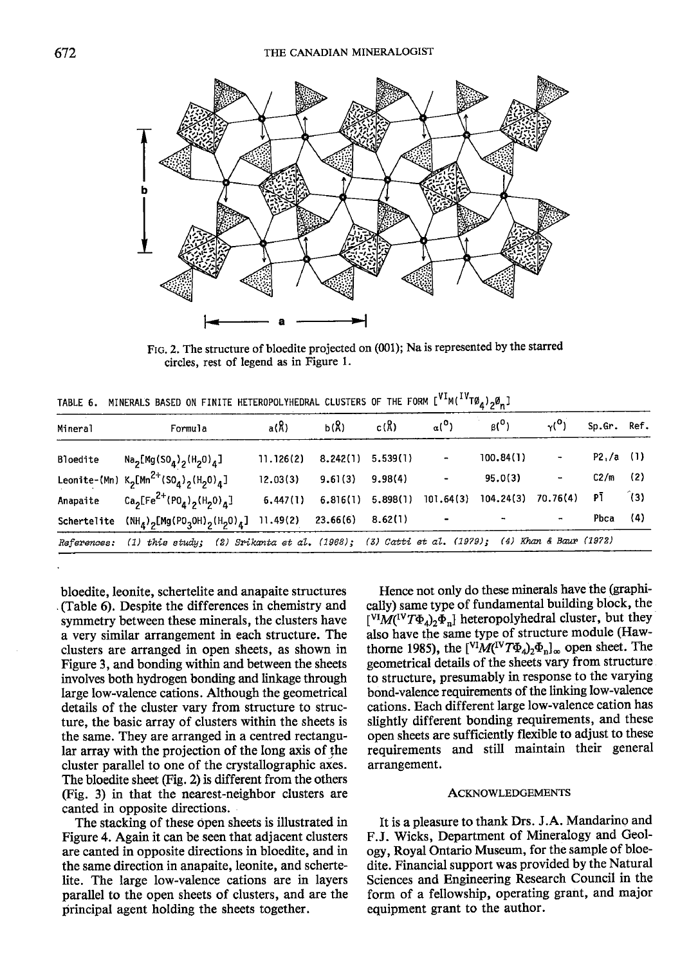

FIG. 2. The structure of bloedite projected on (001); Na is represented by the starred circles, rest of legend as in Figure 1.

TABLE 6. MINERALS BASED ON FINITE HETEROPOLYHEDRAL CLUSTERS OF THE FORM [<sup>VI</sup>M(<sup>IV</sup>TØ,),Ø\_]

| Mineral  | Formula                                                                                                  | a(R)      | b(R)     | c(R)     | $\alpha$ <sup>(0</sup> ) | $\beta(0)$ | $\gamma$ <sup>O</sup> )      | Sp.Gr. Ref. |     |
|----------|----------------------------------------------------------------------------------------------------------|-----------|----------|----------|--------------------------|------------|------------------------------|-------------|-----|
| Bloedite | Na <sub>2</sub> [Mg(SO <sub>4</sub> ) <sub>2</sub> (H <sub>2</sub> O) <sub>4</sub> ]                     | 11.126(2) | 8.242(1) | 5.539(1) | ۰                        | 100.84(1)  | ٠                            | P2, /a (1)  |     |
|          | Leonite-(Mn) $K_2[Mn^{2+}(SO_4)_2(H_2O)_4]$                                                              | 12.03(3)  | 9.61(3)  | 9.98(4)  | $\blacksquare$           | 95.0(3)    | $\qquad \qquad \blacksquare$ | C2/m        | (2) |
|          | Anapaite $Ca_2[Fe^{2+}(P0_A)_2(H_20)_A]$                                                                 | 6.447(1)  | 6.816(1) | 5.898(1) | 101.64(3)                | 104.24(3)  | 70.76(4)                     | РĪ          | (3) |
|          | Schertelite $(NH_A)$ <sub>2</sub> [Mg(PO <sub>3</sub> OH) <sub>2</sub> (H <sub>2</sub> O) <sub>4</sub> ] | 11.49(2)  | 23.66(6) | 8.62(1)  | $\hbox{\small -}$        |            | $\blacksquare$               | Pbca        | (4) |
|          | References: (1) this study; (2) Srikanta et al. (1968); (3) Catti et al. (1979); (4) Khan & Baur (1972)  |           |          |          |                          |            |                              |             |     |

bloedite, leonite, schertelite and anapaite structures (Table 6). Despite the differences in chemistry and symmetry between these minerals, the clusters have a very similar arrangement in each structure. The clusters are arranged in open sheets, as shown in Figure 3, and bonding within and between the sheets involves both hydrogen bonding and linkage through large low-valence cations. Although the geometrical details of the cluster vary from structure to structure, the basic array of clusters within the sheets is the same. They are arranged in a centred rectangular array with the projection of the long axis of the cluster parallel to one of the crystallographic axes. The bloedite sheet (Fig. 2) is different from the others (Fig. 3) in that the nearest-neighbor clusters are canted in opposite directions.

The stacking of these open sheets is illustrated in Figure 4. Again it can be seen that adjacent clusters are canted in opposite directions in bloedite, and in the same direction in anapaite, leonite, and schertelite. The large low-valence cations are in layers parallel to the open sheets of clusters, and are the principal agent holding the sheets together.

Hence not only do these minerals have the (graphically) same type of fundamental building block, the  $\left[ {}^{VI}M({}^{IV}T\Phi_4)_{2}\Phi_{n}\right]$  heteropolyhedral cluster, but they also have the same type of structure module (Hawthorne 1985), the  $\left[\frac{VI}{M}(VT\Phi_4)_2\Phi_n\right]_{\infty}$  open sheet. The geometrical details of the sheets vary from structure to structure, presumably in response to the varying bond-valence requirements of the linking low-valence cations. Each different large low-valence cation has slightly different bonding requirements, and these open sheets are sufficiently flexible to adjust to these requirements and still maintain their general arrangement.

# **ACKNOWLEDGEMENTS**

It is a pleasure to thank Drs. J.A. Mandarino and F.J. Wicks, Department of Mineralogy and Geology, Royal Ontario Museum, for the sample of bloedite. Financial support was provided by the Natural Sciences and Engineering Research Council in the form of a fellowship, operating grant, and major equipment grant to the author.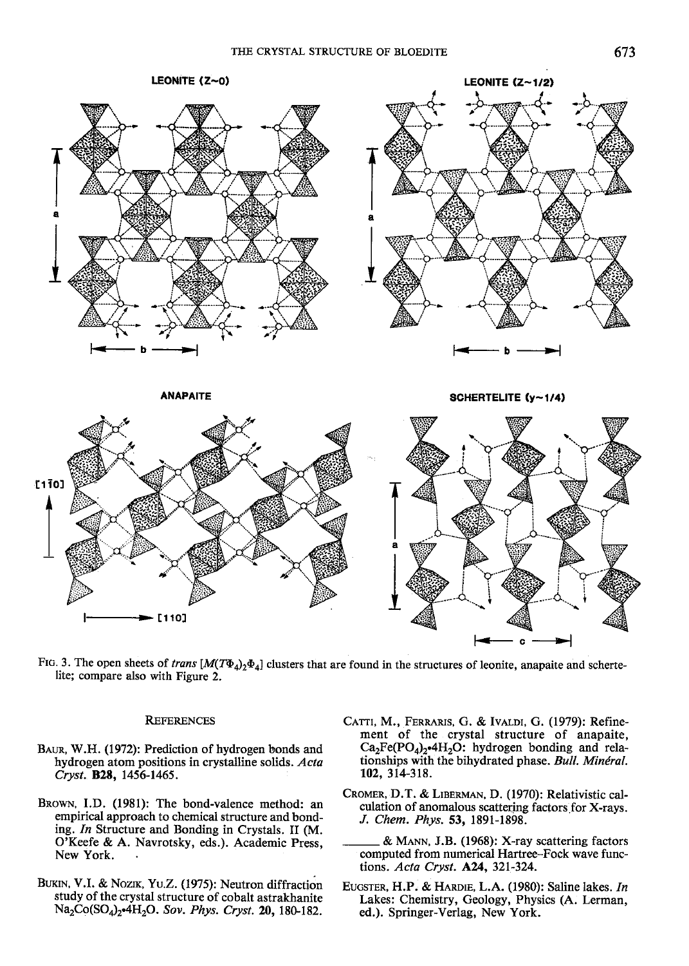

FIG. 3. The open sheets of trans  $[M(T\Phi_4)_2\Phi_4]$  clusters that are found in the structures of leonite, anapaite and schertelite; compare also with Figure 2.

### **REFERENCES**

- Baun, W.H. (1972): Prediction of hydrogen bonds and hydrogen atom positions in crystalline solids. Acta Cryst. B28, 1456-1465.
- BROWN, I.D. (1981): The bond-valence method: an empirical approach to chemical structure and bonding. In Structure and Bonding in Crystals. II (M. O'Keefe & A. Navrotsky, eds.). Academic Press, New York.
- BUKIN, V.I. & Nozik, Yu.Z. (1975): Neutron diffraction study of the crystal structure of cobalt astrakhanite  $Na_2Co(SO_4)_2$ -4H<sub>2</sub>O. Sov. Phys. Cryst. 20, 180-182.
- CATTI, M., FERRARIS, G. & IVALDI, G. (1979): Refinement of the crystal structure of anapaite,  $Ca<sub>2</sub>Fe(PO<sub>4</sub>)$ , 4H<sub>2</sub>O: hydrogen bonding and relationships with the bihydrated phase. Bull. Minéral. 102,314-318.
- CROMER, D.T. & LIBERMAN, D. (1970): Relativistic calculation of anomalous scattering factors for X-rays. J. Chem. Phys. 53, l89l-1898.
- & MANN, J.B. (1968): X-ray scattering factors computed from numerical Hartree-Fock wave functions. Acta Cryst. A24, 321-324.
- EUGSTER, H.P. & HARDIE, L.A. (1980): Saline lakes. In Lakes: Chemistry, Geology, Physics (A. Lerman, ed.). Springer-Verlag, New York.